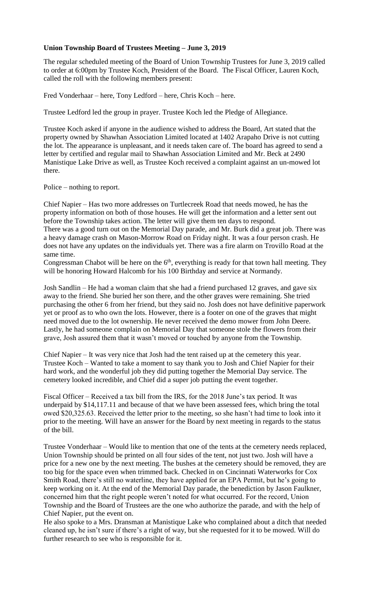## **Union Township Board of Trustees Meeting – June 3, 2019**

The regular scheduled meeting of the Board of Union Township Trustees for June 3, 2019 called to order at 6:00pm by Trustee Koch, President of the Board. The Fiscal Officer, Lauren Koch, called the roll with the following members present:

Fred Vonderhaar – here, Tony Ledford – here, Chris Koch – here.

Trustee Ledford led the group in prayer. Trustee Koch led the Pledge of Allegiance.

Trustee Koch asked if anyone in the audience wished to address the Board, Art stated that the property owned by Shawhan Association Limited located at 1402 Arapaho Drive is not cutting the lot. The appearance is unpleasant, and it needs taken care of. The board has agreed to send a letter by certified and regular mail to Shawhan Association Limited and Mr. Beck at 2490 Manistique Lake Drive as well, as Trustee Koch received a complaint against an un-mowed lot there.

Police – nothing to report.

Chief Napier – Has two more addresses on Turtlecreek Road that needs mowed, he has the property information on both of those houses. He will get the information and a letter sent out before the Township takes action. The letter will give them ten days to respond. There was a good turn out on the Memorial Day parade, and Mr. Burk did a great job. There was

a heavy damage crash on Mason-Morrow Road on Friday night. It was a four person crash. He does not have any updates on the individuals yet. There was a fire alarm on Trovillo Road at the same time.

Congressman Chabot will be here on the  $6<sup>th</sup>$ , everything is ready for that town hall meeting. They will be honoring Howard Halcomb for his 100 Birthday and service at Normandy.

Josh Sandlin – He had a woman claim that she had a friend purchased 12 graves, and gave six away to the friend. She buried her son there, and the other graves were remaining. She tried purchasing the other 6 from her friend, but they said no. Josh does not have definitive paperwork yet or proof as to who own the lots. However, there is a footer on one of the graves that might need moved due to the lot ownership. He never received the demo mower from John Deere. Lastly, he had someone complain on Memorial Day that someone stole the flowers from their grave, Josh assured them that it wasn't moved or touched by anyone from the Township.

Chief Napier – It was very nice that Josh had the tent raised up at the cemetery this year. Trustee Koch – Wanted to take a moment to say thank you to Josh and Chief Napier for their hard work, and the wonderful job they did putting together the Memorial Day service. The cemetery looked incredible, and Chief did a super job putting the event together.

Fiscal Officer – Received a tax bill from the IRS, for the 2018 June's tax period. It was underpaid by \$14,117.11 and because of that we have been assessed fees, which bring the total owed \$20,325.63. Received the letter prior to the meeting, so she hasn't had time to look into it prior to the meeting. Will have an answer for the Board by next meeting in regards to the status of the bill.

Trustee Vonderhaar – Would like to mention that one of the tents at the cemetery needs replaced, Union Township should be printed on all four sides of the tent, not just two. Josh will have a price for a new one by the next meeting. The bushes at the cemetery should be removed, they are too big for the space even when trimmed back. Checked in on Cincinnati Waterworks for Cox Smith Road, there's still no waterline, they have applied for an EPA Permit, but he's going to keep working on it. At the end of the Memorial Day parade, the benediction by Jason Faulkner, concerned him that the right people weren't noted for what occurred. For the record, Union Township and the Board of Trustees are the one who authorize the parade, and with the help of Chief Napier, put the event on.

He also spoke to a Mrs. Dransman at Manistique Lake who complained about a ditch that needed cleaned up, he isn't sure if there's a right of way, but she requested for it to be mowed. Will do further research to see who is responsible for it.